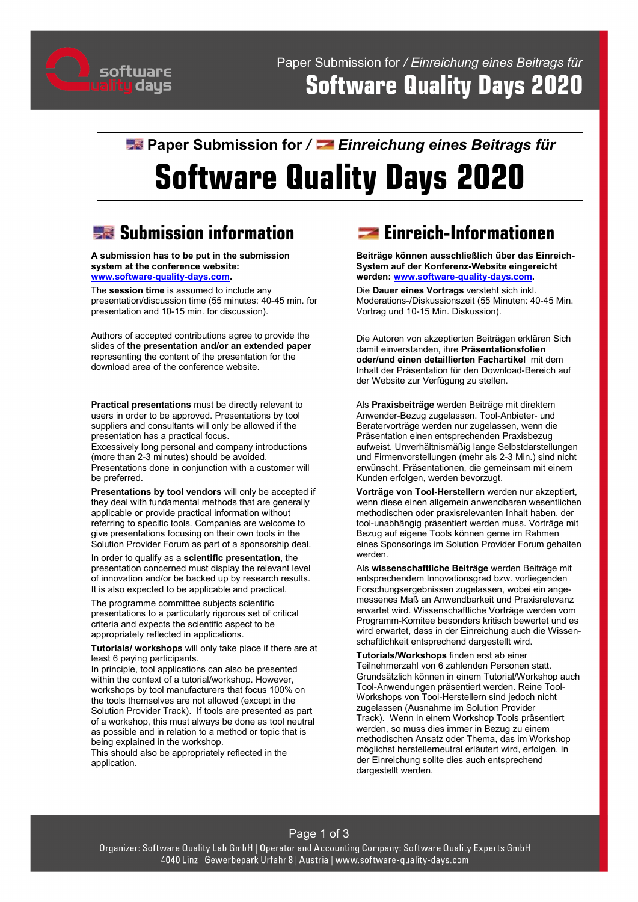

# **R** Paper Submission for / **E** Einreichung eines Beitrags für **Software Quality Days 2020**

# **Submission information**

**A submission has to be put in the submission system at the conference website: [www.software-quality-days.com.](http://www.software-quality-days.com/)** 

The **session time** is assumed to include any presentation/discussion time (55 minutes: 40-45 min. for presentation and 10-15 min. for discussion).

Authors of accepted contributions agree to provide the slides of **the presentation and/or an extended paper** representing the content of the presentation for the download area of the conference website.

**Practical presentations** must be directly relevant to users in order to be approved. Presentations by tool suppliers and consultants will only be allowed if the presentation has a practical focus.

Excessively long personal and company introductions (more than 2-3 minutes) should be avoided. Presentations done in conjunction with a customer will be preferred.

**Presentations by tool vendors** will only be accepted if they deal with fundamental methods that are generally applicable or provide practical information without referring to specific tools. Companies are welcome to give presentations focusing on their own tools in the Solution Provider Forum as part of a sponsorship deal.

In order to qualify as a **scientific presentation**, the presentation concerned must display the relevant level of innovation and/or be backed up by research results. It is also expected to be applicable and practical.

The programme committee subjects scientific presentations to a particularly rigorous set of critical criteria and expects the scientific aspect to be appropriately reflected in applications.

**Tutorials/ workshops** will only take place if there are at least 6 paying participants.

In principle, tool applications can also be presented within the context of a tutorial/workshop. However, workshops by tool manufacturers that focus 100% on the tools themselves are not allowed (except in the Solution Provider Track). If tools are presented as part of a workshop, this must always be done as tool neutral as possible and in relation to a method or topic that is being explained in the workshop.

This should also be appropriately reflected in the application.

# **Example:** Einreich-Informationen

**Beiträge können ausschließlich über das Einreich-System auf der Konferenz-Website eingereicht werden[: www.software-quality-days.com.](http://www.software-quality-days.com/)**

Die **Dauer eines Vortrags** versteht sich inkl. Moderations-/Diskussionszeit (55 Minuten: 40-45 Min. Vortrag und 10-15 Min. Diskussion).

Die Autoren von akzeptierten Beiträgen erklären Sich damit einverstanden, ihre **Präsentationsfolien oder/und einen detaillierten Fachartikel** mit dem Inhalt der Präsentation für den Download-Bereich auf der Website zur Verfügung zu stellen.

Als **Praxisbeiträge** werden Beiträge mit direktem Anwender-Bezug zugelassen. Tool-Anbieter- und Beratervorträge werden nur zugelassen, wenn die Präsentation einen entsprechenden Praxisbezug aufweist. Unverhältnismäßig lange Selbstdarstellungen und Firmenvorstellungen (mehr als 2-3 Min.) sind nicht erwünscht. Präsentationen, die gemeinsam mit einem Kunden erfolgen, werden bevorzugt.

**Vorträge von Tool-Herstellern** werden nur akzeptiert, wenn diese einen allgemein anwendbaren wesentlichen methodischen oder praxisrelevanten Inhalt haben, der tool-unabhängig präsentiert werden muss. Vorträge mit Bezug auf eigene Tools können gerne im Rahmen eines Sponsorings im Solution Provider Forum gehalten werden.

Als **wissenschaftliche Beiträge** werden Beiträge mit entsprechendem Innovationsgrad bzw. vorliegenden Forschungsergebnissen zugelassen, wobei ein angemessenes Maß an Anwendbarkeit und Praxisrelevanz erwartet wird. Wissenschaftliche Vorträge werden vom Programm-Komitee besonders kritisch bewertet und es wird erwartet, dass in der Einreichung auch die Wissenschaftlichkeit entsprechend dargestellt wird.

**Tutorials/Workshops** finden erst ab einer Teilnehmerzahl von 6 zahlenden Personen statt. Grundsätzlich können in einem Tutorial/Workshop auch Tool-Anwendungen präsentiert werden. Reine Tool-Workshops von Tool-Herstellern sind jedoch nicht zugelassen (Ausnahme im Solution Provider Track). Wenn in einem Workshop Tools präsentiert werden, so muss dies immer in Bezug zu einem methodischen Ansatz oder Thema, das im Workshop möglichst herstellerneutral erläutert wird, erfolgen. In der Einreichung sollte dies auch entsprechend dargestellt werden.

#### Page 1 of 3

Organizer: Software Quality Lab GmbH | Operator and Accounting Company: Software Quality Experts GmbH 4040 Linz | Gewerbepark Urfahr 8 | Austria | www.software-quality-days.com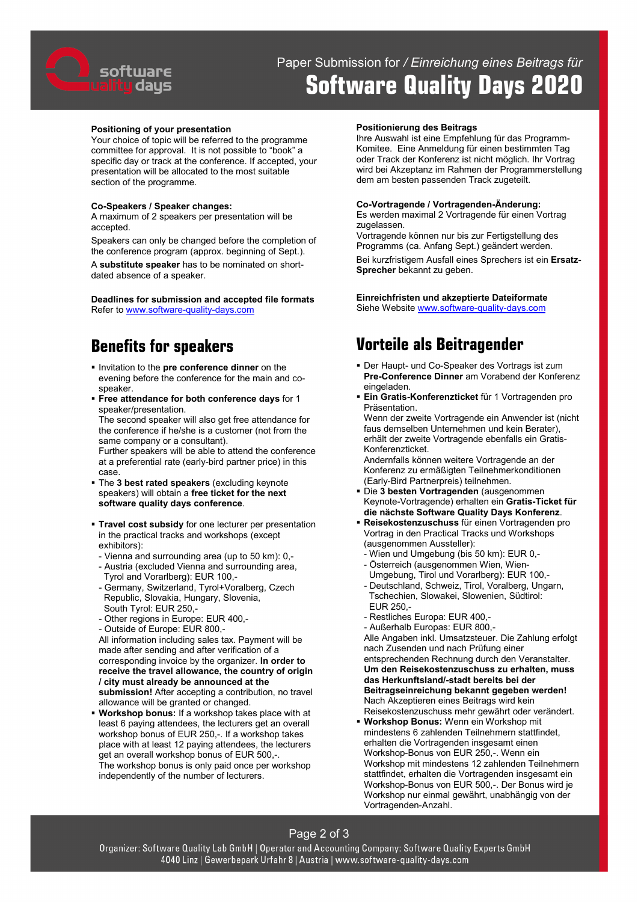

# Paper Submission for */ Einreichung eines Beitrags für*  **Software Quality Days 2020**

#### **Positioning of your presentation**

Your choice of topic will be referred to the programme committee for approval. It is not possible to "book" a specific day or track at the conference. If accepted, your presentation will be allocated to the most suitable section of the programme.

#### **Co-Speakers / Speaker changes:**

A maximum of 2 speakers per presentation will be accepted.

Speakers can only be changed before the completion of the conference program (approx. beginning of Sept.). A **substitute speaker** has to be nominated on shortdated absence of a speaker.

**Deadlines for submission and accepted file formats** Refer t[o www.software-quality-days.com](http://www.software-quality-days.com/)

### **Benefits for speakers**

- **Invitation to the pre conference dinner** on the evening before the conference for the main and cospeaker.
- **Free attendance for both conference days** for 1 speaker/presentation. The second speaker will also get free attendance for

the conference if he/she is a customer (not from the same company or a consultant).

Further speakers will be able to attend the conference at a preferential rate (early-bird partner price) in this case.

- The **3 best rated speakers** (excluding keynote speakers) will obtain a **free ticket for the next software quality days conference**.
- **Travel cost subsidy** for one lecturer per presentation in the practical tracks and workshops (except exhibitors):
- Vienna and surrounding area (up to 50 km): 0,-
- Austria (excluded Vienna and surrounding area, Tyrol and Vorarlberg): EUR 100,-
- Germany, Switzerland, Tyrol+Voralberg, Czech Republic, Slovakia, Hungary, Slovenia, South Tyrol: EUR 250,-
- Other regions in Europe: EUR 400,-
- Outside of Europe: EUR 800,-

All information including sales tax. Payment will be made after sending and after verification of a corresponding invoice by the organizer. **In order to receive the travel allowance, the country of origin / city must already be announced at the submission!** After accepting a contribution, no travel allowance will be granted or changed.

 **Workshop bonus:** If a workshop takes place with at least 6 paying attendees, the lecturers get an overall workshop bonus of EUR 250,-. If a workshop takes place with at least 12 paying attendees, the lecturers get an overall workshop bonus of EUR 500,-. The workshop bonus is only paid once per workshop independently of the number of lecturers.

#### **Positionierung des Beitrags**

Ihre Auswahl ist eine Empfehlung für das Programm-Komitee. Eine Anmeldung für einen bestimmten Tag oder Track der Konferenz ist nicht möglich. Ihr Vortrag wird bei Akzeptanz im Rahmen der Programmerstellung dem am besten passenden Track zugeteilt.

#### **Co-Vortragende / Vortragenden-Änderung:**

Es werden maximal 2 Vortragende für einen Vortrag zugelassen.

Vortragende können nur bis zur Fertigstellung des Programms (ca. Anfang Sept.) geändert werden.

Bei kurzfristigem Ausfall eines Sprechers ist ein **Ersatz-Sprecher** bekannt zu geben.

**Einreichfristen und akzeptierte Dateiformate** Siehe Website [www.software-quality-days.com](http://www.software-quality-days.com/)

# **Vorteile als Beitragender**

- Der Haupt- und Co-Speaker des Vortrags ist zum **Pre-Conference Dinner** am Vorabend der Konferenz eingeladen.
- **Ein Gratis-Konferenzticket** für 1 Vortragenden pro Präsentation.

Wenn der zweite Vortragende ein Anwender ist (nicht faus demselben Unternehmen und kein Berater), erhält der zweite Vortragende ebenfalls ein Gratis-Konferenzticket.

Andernfalls können weitere Vortragende an der Konferenz zu ermäßigten Teilnehmerkonditionen (Early-Bird Partnerpreis) teilnehmen.

- Die **3 besten Vortragenden** (ausgenommen Keynote-Vortragende) erhalten ein **Gratis-Ticket für die nächste Software Quality Days Konferenz**.
- **Reisekostenzuschuss** für einen Vortragenden pro Vortrag in den Practical Tracks und Workshops (ausgenommen Aussteller):
	- Wien und Umgebung (bis 50 km): EUR 0,-
- Österreich (ausgenommen Wien, Wien-
- Umgebung, Tirol und Vorarlberg): EUR 100,-
- Deutschland, Schweiz, Tirol, Voralberg, Ungarn, Tschechien, Slowakei, Slowenien, Südtirol: EUR 250,-
- Restliches Europa: EUR 400,-
- Außerhalb Europas: EUR 800,-

Alle Angaben inkl. Umsatzsteuer. Die Zahlung erfolgt nach Zusenden und nach Prüfung einer entsprechenden Rechnung durch den Veranstalter. **Um den Reisekostenzuschuss zu erhalten, muss das Herkunftsland/-stadt bereits bei der Beitragseinreichung bekannt gegeben werden!** Nach Akzeptieren eines Beitrags wird kein Reisekostenzuschuss mehr gewährt oder verändert.

 **Workshop Bonus:** Wenn ein Workshop mit mindestens 6 zahlenden Teilnehmern stattfindet, erhalten die Vortragenden insgesamt einen Workshop-Bonus von EUR 250,-. Wenn ein Workshop mit mindestens 12 zahlenden Teilnehmern stattfindet, erhalten die Vortragenden insgesamt ein Workshop-Bonus von EUR 500,-. Der Bonus wird je Workshop nur einmal gewährt, unabhängig von der Vortragenden-Anzahl.

Page 2 of 3